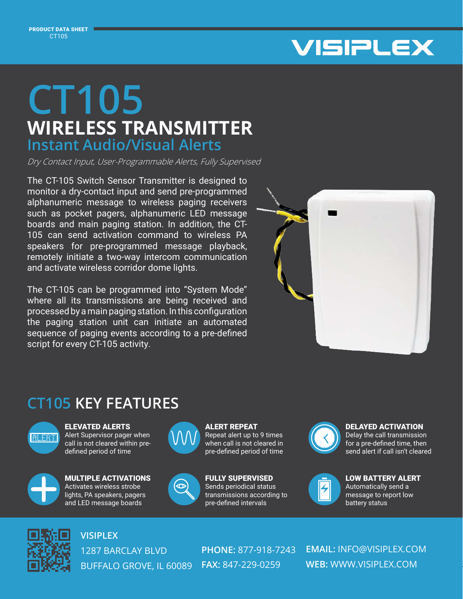PRODUCT DATA SHEET CT105



## **WIRELESS TRANSMITTER CT105 Instant Audio/Visual Alerts**

Dry Contact Input, User-Programmable Alerts, Fully Supervised

The CT-105 Switch Sensor Transmitter is designed to monitor a dry-contact input and send pre-programmed alphanumeric message to wireless paging receivers such as pocket pagers, alphanumeric LED message boards and main paging station. In addition, the CT-105 can send activation command to wireless PA speakers for pre-programmed message playback, remotely initiate a two-way intercom communication and activate wireless corridor dome lights.

The CT-105 can be programmed into "System Mode" where all its transmissions are being received and processed by a main paging station. In this configuration the paging station unit can initiate an automated sequence of paging events according to a pre-defined script for every CT-105 activity.



## **CT105 KEY FEATURES**



ELEVATED ALERTS Alert Supervisor pager when call is not cleared within predefined period of time



MULTIPLE ACTIVATIONS Activates wireless strobe lights, PA speakers, pagers and LED message boards



ALERT REPEAT Repeat alert up to 9 times when call is not cleared in pre-defined period of time



FULLY SUPERVISED Sends periodical status transmissions according to pre-defined intervals



DELAYED ACTIVATION

Delay the call transmission for a pre-defined time, then send alert if call isn't cleared



LOW BATTERY ALERT Automatically send a message to report low battery status



**VISIPLEX**

1287 BARCLAY BLVD BUFFALO GROVE, IL 60089 **FAX:** 847-229-0259

**PHONE:** 877-918-7243

**EMAIL:** INFO@VISIPLEX.COM **WEB:** WWW.VISIPLEX.COM